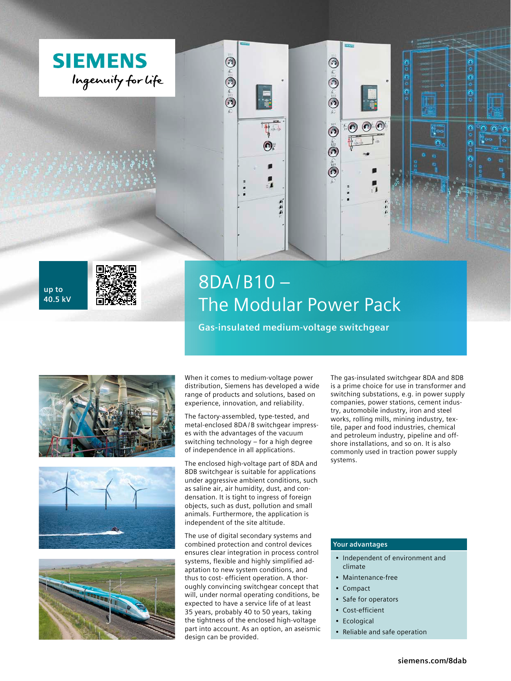





# 8DA/B10 – The Modular Power Pack

 $\odot$ 

 $\tilde{\circ}$ 

 $\ddot{\textcirc}$ 

 $\overset{\sim}{\bm{\mathcal{O}}}$ 

 $\tilde{\bm{\sigma}}$ 

**Gas-insulated medium-voltage switchgear**







When it comes to medium-voltage power distribution, Siemens has developed a wide range of products and solutions, based on experience, innovation, and reliability.

Q

 $\odot$ 

ô

 $\left( 0\right)$ 

г

The factory-assembled, type-tested, and metal-enclosed 8DA/ B switchgear impresses with the advantages of the vacuum switching technology – for a high degree of independence in all applications.

The enclosed high-voltage part of 8DA and 8DB switchgear is suitable for applications under aggressive ambient conditions, such as saline air, air humidity, dust, and condensation. It is tight to ingress of foreign objects, such as dust, pollution and small animals. Furthermore, the application is independent of the site altitude.

The use of digital secondary systems and combined protection and control devices ensures clear integration in process control systems, flexible and highly simplified adaptation to new system conditions, and thus to cost- efficient operation. A thoroughly convincing switchgear concept that will, under normal operating conditions, be expected to have a service life of at least 35 years, probably 40 to 50 years, taking the tightness of the enclosed high-voltage part into account. As an option, an aseismic design can be provided.

The gas-insulated switchgear 8DA and 8DB is a prime choice for use in transformer and switching substations, e.g. in power supply companies, power stations, cement industry, automobile industry, iron and steel works, rolling mills, mining industry, textile, paper and food industries, chemical and petroleum industry, pipeline and offshore installations, and so on. It is also commonly used in traction power supply systems.

# **Your advantages**

- Independent of environment and climate
- Maintenance-free
- Compact
- Safe for operators
- Cost-efficient
- **Ecological**
- Reliable and safe operation